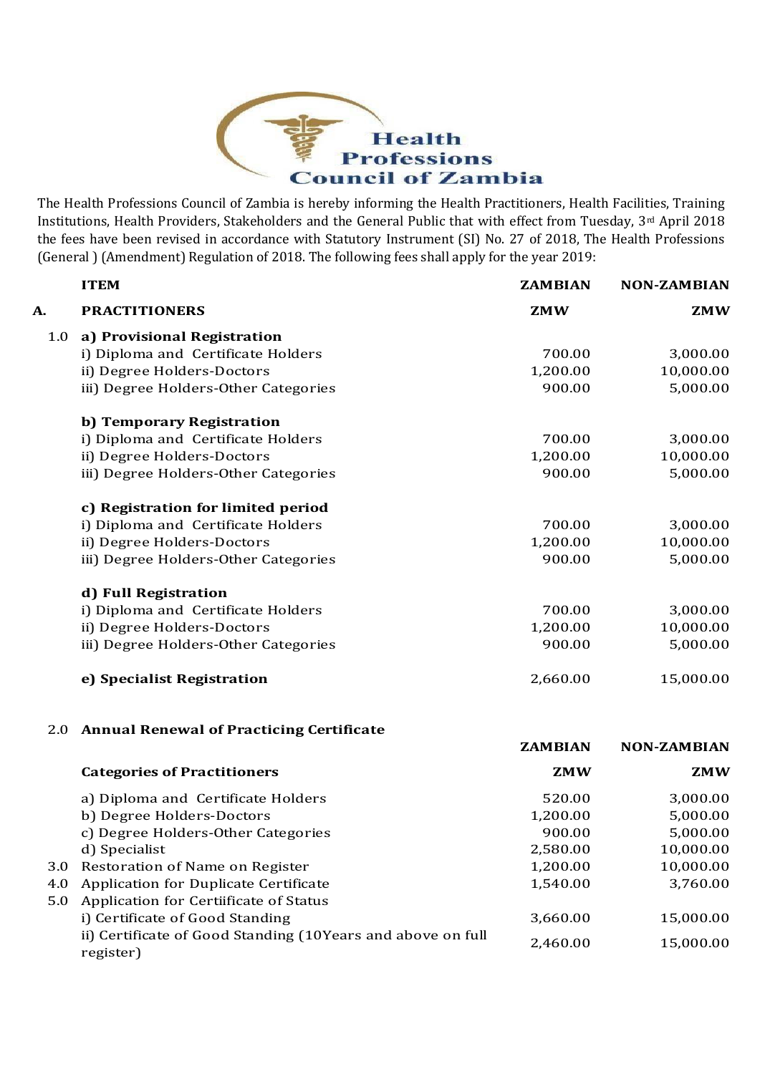

The Health Professions Council of Zambia is hereby informing the Health Practitioners, Health Facilities, Training Institutions, Health Providers, Stakeholders and the General Public that with effect from Tuesday, 3rd April 2018 the fees have been revised in accordance with Statutory Instrument (SI) No. 27 of 2018, The Health Professions (General ) (Amendment) Regulation of 2018. The following fees shall apply for the year 2019:

|     | <b>ITEM</b>                                                              | <b>ZAMBIAN</b> | <b>NON-ZAMBIAN</b> |
|-----|--------------------------------------------------------------------------|----------------|--------------------|
| А.  | <b>PRACTITIONERS</b>                                                     | <b>ZMW</b>     | <b>ZMW</b>         |
| 1.0 | a) Provisional Registration                                              |                |                    |
|     | i) Diploma and Certificate Holders                                       | 700.00         | 3,000.00           |
|     | ii) Degree Holders-Doctors                                               | 1,200.00       | 10,000.00          |
|     | iii) Degree Holders-Other Categories                                     | 900.00         | 5,000.00           |
|     | b) Temporary Registration                                                |                |                    |
|     | i) Diploma and Certificate Holders                                       | 700.00         | 3,000.00           |
|     | ii) Degree Holders-Doctors                                               | 1,200.00       | 10,000.00          |
|     | iii) Degree Holders-Other Categories                                     | 900.00         | 5,000.00           |
|     | c) Registration for limited period                                       |                |                    |
|     | i) Diploma and Certificate Holders                                       | 700.00         | 3,000.00           |
|     | ii) Degree Holders-Doctors                                               | 1,200.00       | 10,000.00          |
|     | iii) Degree Holders-Other Categories                                     | 900.00         | 5,000.00           |
|     | d) Full Registration                                                     |                |                    |
|     | i) Diploma and Certificate Holders                                       | 700.00         | 3,000.00           |
|     | ii) Degree Holders-Doctors                                               | 1,200.00       | 10,000.00          |
|     | iii) Degree Holders-Other Categories                                     | 900.00         | 5,000.00           |
|     | e) Specialist Registration                                               | 2,660.00       | 15,000.00          |
|     | 2.0 Annual Renewal of Practicing Certificate                             |                |                    |
|     |                                                                          | <b>ZAMBIAN</b> | <b>NON-ZAMBIAN</b> |
|     | <b>Categories of Practitioners</b>                                       | <b>ZMW</b>     | <b>ZMW</b>         |
|     | a) Diploma and Certificate Holders                                       | 520.00         | 3,000.00           |
|     | b) Degree Holders-Doctors                                                | 1,200.00       | 5,000.00           |
|     | c) Degree Holders-Other Categories                                       | 900.00         | 5,000.00           |
|     | d) Specialist                                                            | 2,580.00       | 10,000.00          |
| 3.0 | Restoration of Name on Register                                          | 1,200.00       | 10,000.00          |
| 4.0 | <b>Application for Duplicate Certificate</b>                             | 1,540.00       | 3,760.00           |
| 5.0 | Application for Certiificate of Status                                   |                |                    |
|     | i) Certificate of Good Standing                                          | 3,660.00       | 15,000.00          |
|     | ii) Certificate of Good Standing (10Years and above on full<br>register) | 2,460.00       | 15,000.00          |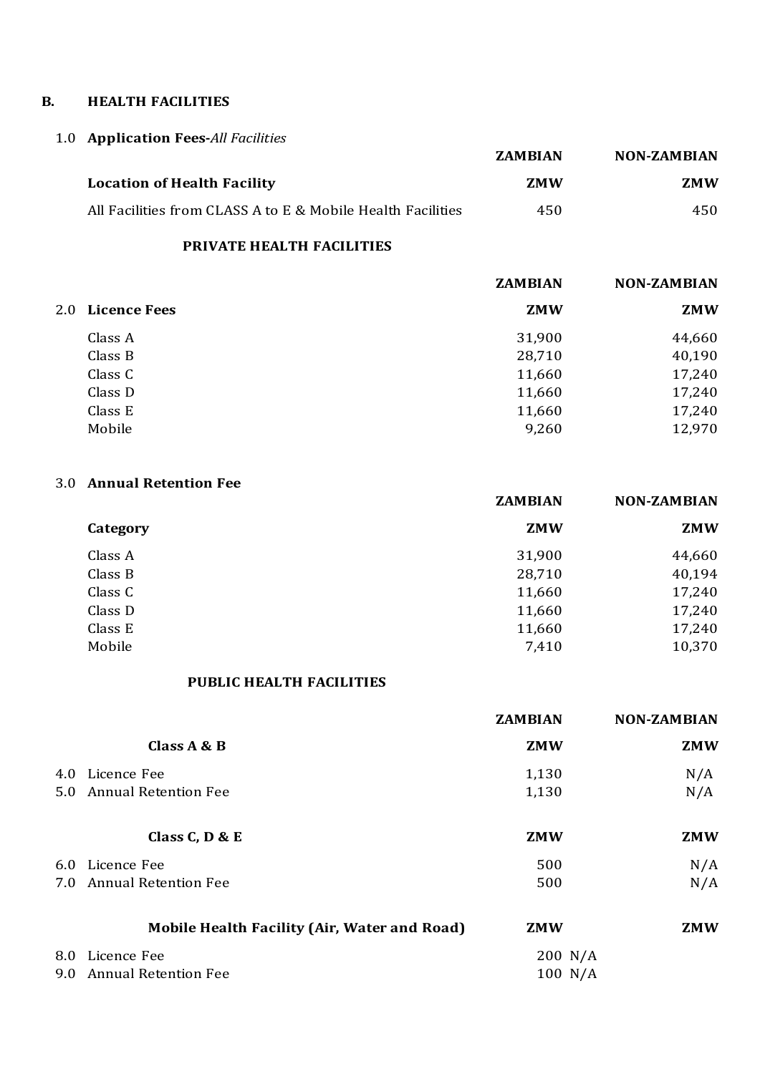#### **B. HEALTH FACILITIES**

# 1.0 **Application Fees-***All Facilities*

|                                                             | <b>ZAMBIAN</b> | <b>NON-ZAMBIAN</b> |
|-------------------------------------------------------------|----------------|--------------------|
| <b>Location of Health Facility</b>                          | <b>ZMW</b>     | <b>ZMW</b>         |
| All Facilities from CLASS A to E & Mobile Health Facilities | 450            | 450                |

# **PRIVATE HEALTH FACILITIES**

|                  | <b>ZAMBIAN</b> | <b>NON-ZAMBIAN</b> |
|------------------|----------------|--------------------|
| 2.0 Licence Fees | <b>ZMW</b>     | <b>ZMW</b>         |
| Class A          | 31,900         | 44,660             |
| Class B          | 28,710         | 40,190             |
| Class C          | 11,660         | 17,240             |
| Class D          | 11,660         | 17,240             |
| Class E          | 11,660         | 17,240             |
| Mobile           | 9,260          | 12,970             |
|                  |                |                    |

# 3.0 **Annual Retention Fee**

|          | <b>ZAMBIAN</b> | <b>NON-ZAMBIAN</b> |
|----------|----------------|--------------------|
| Category | <b>ZMW</b>     | <b>ZMW</b>         |
| Class A  | 31,900         | 44,660             |
| Class B  | 28,710         | 40,194             |
| Class C  | 11,660         | 17,240             |
| Class D  | 11,660         | 17,240             |
| Class E  | 11,660         | 17,240             |
| Mobile   | 7,410          | 10,370             |
|          |                |                    |

### **PUBLIC HEALTH FACILITIES**

|     |                                              | <b>ZAMBIAN</b> | <b>NON-ZAMBIAN</b> |
|-----|----------------------------------------------|----------------|--------------------|
|     | Class $A \& B$                               | <b>ZMW</b>     | <b>ZMW</b>         |
| 4.0 | Licence Fee                                  | 1,130          | N/A                |
|     | 5.0 Annual Retention Fee                     | 1,130          | N/A                |
|     | Class C, $D & E$                             | <b>ZMW</b>     | <b>ZMW</b>         |
|     | 6.0 Licence Fee                              | 500            | N/A                |
| 7.0 | <b>Annual Retention Fee</b>                  | 500            | N/A                |
|     | Mobile Health Facility (Air, Water and Road) | <b>ZMW</b>     | <b>ZMW</b>         |
| 8.0 | Licence Fee                                  | 200 N/A        |                    |
| 9.0 | <b>Annual Retention Fee</b>                  | 100 N/A        |                    |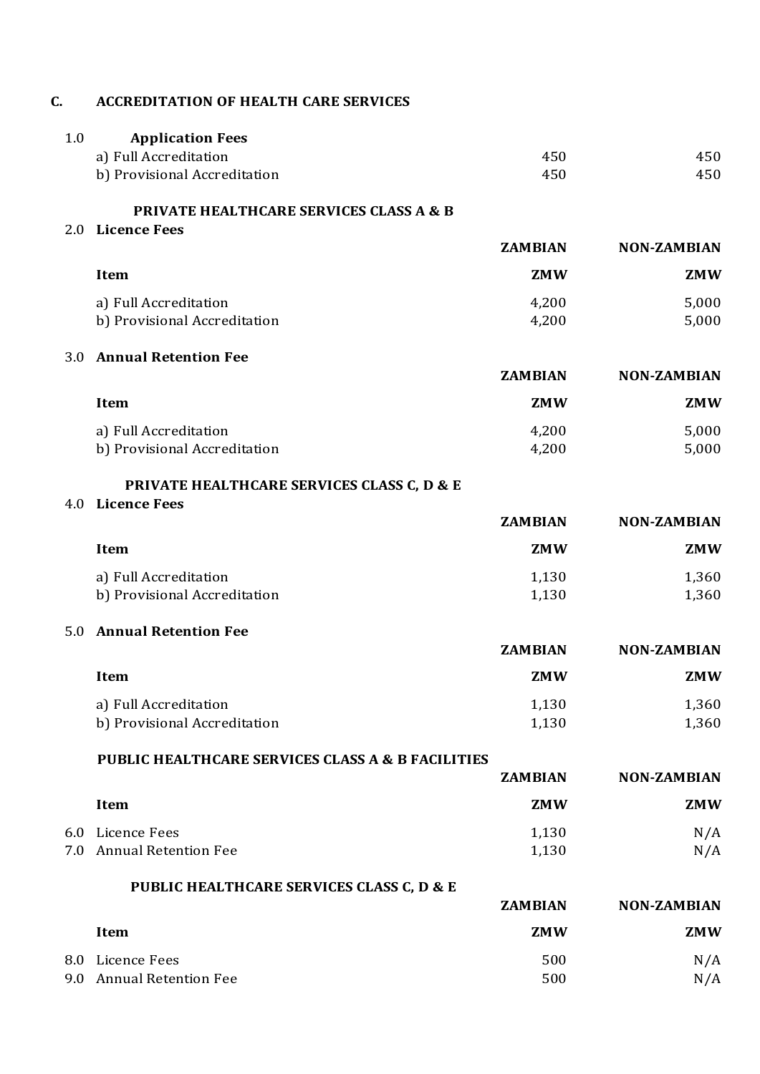#### **C. ACCREDITATION OF HEALTH CARE SERVICES**

| <b>Application Fees</b><br>1.0 |     |     |
|--------------------------------|-----|-----|
| a) Full Accreditation          | 450 | 450 |
| b) Provisional Accreditation   | 450 | 450 |
|                                |     |     |

**PRIVATE HEALTHCARE SERVICES CLASS A & B**

2.0 **Licence Fees**

|                              | <b>ZAMBIAN</b> | <b>NON-ZAMBIAN</b> |
|------------------------------|----------------|--------------------|
| Item                         | <b>ZMW</b>     | ZMW                |
| a) Full Accreditation        | 4,200          | 5,000              |
| b) Provisional Accreditation | 4,200          | 5,000              |

#### 3.0 **Annual Retention Fee**

|                                                       | <b>ZAMBIAN</b> | <b>NON-ZAMBIAN</b> |
|-------------------------------------------------------|----------------|--------------------|
| Item                                                  | ZMW            | <b>ZMW</b>         |
| a) Full Accreditation<br>b) Provisional Accreditation | 4,200<br>4,200 | 5,000<br>5,000     |

#### **PRIVATE HEALTHCARE SERVICES CLASS C, D & E**

#### 4.0 **Licence Fees**

|                              | <b>ZAMBIAN</b> | <b>NON-ZAMBIAN</b> |
|------------------------------|----------------|--------------------|
| Item                         | <b>ZMW</b>     | ZMW                |
| a) Full Accreditation        | 1,130          | 1,360              |
| b) Provisional Accreditation | 1,130          | 1,360              |
|                              |                |                    |

#### 5.0 **Annual Retention Fee**

|                              | <b>ZAMBIAN</b> | <b>NON-ZAMBIAN</b> |  |
|------------------------------|----------------|--------------------|--|
| Item                         | <b>ZMW</b>     | <b>ZMW</b>         |  |
| a) Full Accreditation        | 1.130          | 1,360              |  |
| b) Provisional Accreditation | 1,130          | 1,360              |  |

#### **PUBLIC HEALTHCARE SERVICES CLASS A & B FACILITIES**

|                          | <b>ZAMBIAN</b> | <b>NON-ZAMBIAN</b> |
|--------------------------|----------------|--------------------|
| Item                     | <b>ZMW</b>     | <b>ZMW</b>         |
| 6.0 Licence Fees         | 1,130          | N/A                |
| 7.0 Annual Retention Fee | 1,130          | N/A                |

|     | PUBLIC HEALTHCARE SERVICES CLASS C, D & E |                |                    |
|-----|-------------------------------------------|----------------|--------------------|
|     |                                           | <b>ZAMBIAN</b> | <b>NON-ZAMBIAN</b> |
|     | Item                                      | <b>ZMW</b>     | <b>ZMW</b>         |
|     | 8.0 Licence Fees                          | 500            | N/A                |
| 9.0 | <b>Annual Retention Fee</b>               | 500            | N/A                |